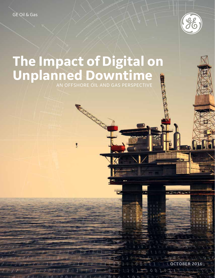

OCTOBER 2016

 $\underline{a} \underline{a} \underline{a} \underline{b} \underline{b} \underline{b} \underline{b} \underline{b} \underline{b} \underline{b} \underline{a} \underline{b} \underline{a} \underline{a} \underline{b} \underline{b} \underline{b}$ 

 $24.7$ 

# **The Impact of Digital on Unplanned Downtime**

**RADIO CONTRACTOR** 

Ŝ

AN OFFSHORE OIL AND GAS PERSPECTIVE

R

 $a \circ a$ 

邛 n. **SIZINISTER**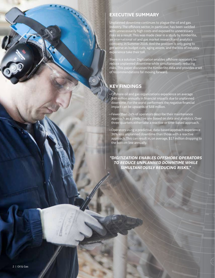

## **EXECUTIVE SUMMARY**

Unplanned downtime continues to plague the oil and gas industry. The offshore sector, in particular, has been saddled with unnecessarily high costs and exposed to unnecessary risks as a result. This was made clear in a study by Kimberlite, an international oil and gas market research and analytics company, in Summer 2016. And the problem is only going to get worse as budget cuts, aging assets, and the loss of industry experience take their toll.

There is a solution. Digitization enables offshore operators to reduce unplanned downtime while simultaneously reducing risks. This paper discusses the Kimberlite data and provides a set of recommendations for moving forward.

## **KEY FINDINGS**

- Offshore oil and gas organizations experience on average \$49 million annually in financial impacts due to unplanned downtime. For the worst performers the negative financial impact can be upwards of \$88 million.
- Fewer than 24% of operators describe their maintenance approach as a predictive one based on data and analytics. Over three-quarters either take a reactive or time-based approach.
- Operators using a predictive, data-based approach experience 36% less unplanned downtime than those with a reactive approach. This can result in, on average, \$17 million dropping to the bottom line annually.

*"DIGITIZATION ENABLES OFFSHORE OPERATORS TO REDUCE UNPLANNED DOWNTIME WHILE SIMULTANEOUSLY REDUCING RISKS."*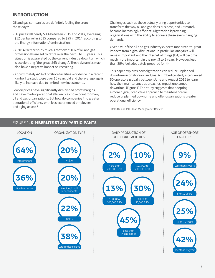## **INTRODUCTION**

Oil and gas companies are definitely feeling the crunch these days:

- Oil prices fell nearly 50% between 2015 and 2014, averaging \$52 per barrel in 2015 compared to \$99 in 2014, according to the Energy Information Administration.
- A 2014 Mercer study reveals that over 50% of oil and gas professionals are set to retire over the next 5 to 10 years. This situation is aggravated by the current industry downturn which is accelerating "the great shift change". These dynamics may also have a negative impact on recruiting.
- Approximately 42% of offshore facilities worldwide in a recent Kimberlite study were over 15 years old and the average age is likely to increase due to limited new investments.

Low oil prices have significantly diminished profit margins, and have made operational efficiency a choke point for many oil and gas organizations. But how do companies find greater operational efficiency with less experienced employees and aging assets?

Challenges such as these actually bring opportunities to transform the way oil and gas does business, and ultimately become increasingly efficient. Digitization isproviding organizations with the ability to address these ever-changing demands.

Over 67% of the oil and gas industry expects moderate-to-great impacts from digital disruptions. In particular, analytics will remain important and the internet of things (IoT) will become much more important in the next 3 to 5 years. However, less than 25% feel adequately prepared for it<sup>1</sup>.

This paper explores how digitization can reduce unplanned downtime in offshore oil and gas. A Kimberlite study interviewed 50 operators globally between June and August 2016 to learn how their maintenance approaches impact unplanned downtime. (Figure 1) The study suggests that adopting a more digital, predictive approach to maintenance will reduce unplanned downtime and offer organizations greater operational efficiency.

<sup>1</sup> Deloitte and MIT Sloan Management Review

### FIGURE 1. **KIMBERLITE STUDY PARTICIPANTS**

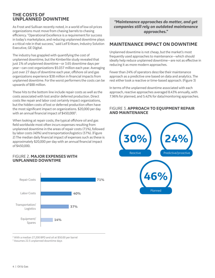### **THE COSTS OF UNPLANNED DOWNTIME**

As Frost and Sullivan recently noted, in a world of low oil prices organizations must move from chasing barrels to chasing efficiency. "Operational Excellence is a requirement for success in today's marketplace, and reducing unplanned downtime plays a critical role in that success," said Leif Eriksen, Industry Solution Executive, GE Digital.

The industry has grappled with quantifying the cost of unplanned downtime, but the Kimberlite study revealed that just 1% of unplanned downtime—or 3.65 downtime days per year—can cost organizations \$5.037 million each year. Averaging just over 27 days of downtime each year, offshore oil and gas organizations experience \$38 million in financial impacts from unplanned downtime. For the worst performers the costs can be upwards of \$88 million.

These hits to the bottom line include repair costs as well as the costs associated with lost and/or deferred production. Direct costs like repair and labor cost certainly impact organizations, but the hidden costs of lost or deferred production often have the most significant impact on organizations. \$20,000 per day with an annual financial impact of \$450,000<sup>3</sup>. .

When looking at repair costs, the typical offshore oil and gas field worldwide most often incurs expenses resulting from unplanned downtime in the areas of repair costs (71%), followed by labor costs (40%) and transportation/logistics (37%). (Figure 2) The median daily financial impact of expenses such as these is approximately \$20,000 per day with an annual financial impact of \$450,000.

#### FIGURE 2. **MAJOR EXPENSES WITH UNPLANNED DOWNTIME**



*"Maintenance approaches do matter, and yet companies still rely on outdated maintenance approaches."*

### **MAINTENANCE IMPACT ON DOWNTIME**

Unplanned downtime is not cheap, but the market's most frequently used approaches to maintenance—which should ideally help reduce unplanned downtime—are not as effective in reducing it as more modern approaches.

Fewer than 24% of operators describe their maintenance approach as a predictive one based on data and analytics. The rest either took a reactive or time-based approach. (Figure 3)

In terms of the unplanned downtime associated with each approach, reactive approaches averaged 8.43% annually, with 7.96% for planned, and 5.42% for data/monitoring approaches.

#### FIGURE 3. **APPROACH TO EQUIPMENT REPAIR AND MAINTENANCE**



<sup>2</sup> With a median 27,200 BPD and oil at \$50.00 per barrel

3 Assumes 22.5 unplanned downtime days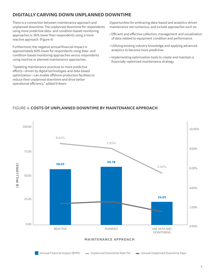## **DIGITALLY CARVING DOWN UNPLANNED DOWNTIME**

There is a connection between maintenance approach and unplanned downtime. The unplanned downtime for respondents using more predictive data- and condition-based monitoring approaches is 36% lower than respondents using a more reactive approach. (Figure 4)

Furthermore, the negative annual financial impact is approximately 60% lower for respondents using data- and condition-based monitoring approaches versus respondents using reactive or planned maintenance approaches.

"Updating maintenance practices to more predictive efforts—driven by digital technologies and data-based optimization—can enable offshore production facilities to reduce their unplanned downtime and drive better operational efficiency," added Eriksen.

Opportunities for embracing data-based and analytics-driven maintenance are numerous, and include approaches such as:

- Efficient and effective collection, management and visualization of data related to equipment condition and performance.
- Utilizing existing industry knowledge and applying advanced analytics to become more predictive.
- Implementing optimization tools to create and maintain a financially-optimized maintenance strategy.

#### FIGURE 4. **COSTS OF UNPLANNED DOWNTIME BY MAINTENANCE APPROACH**

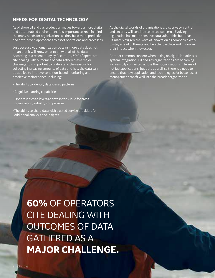### **NEEDS FOR DIGITAL TECHNOLOGY**

As offshore oil and gas production moves toward a more digital and data-enabled environment, it is important to keep in mind the many needs for organizations as they build more predictive and data-driven approaches to asset operations and processes.

Just because your organization obtains more data does not mean that it will know what to do with all of the data. According to a recent study by Accenture, 60% of operators cite dealing with outcomes of data gathered as a major challenge. It is important to understand the reasons for collecting increasing amounts of data and how the data can be applied to improve condition-based monitoring and predictive maintenance, including:

- The ability to identify data-based patterns
- Cognitive learning capabilities
- Opportunities to leverage data in the Cloud for crossorganization/industry comparisons
- The ability to share data with trusted service providers for additional analysis and insights

As the digital worlds of organizations grow, privacy, control and security will continue to be top concerns. Evolving digitization has made sensitive data vulnerable, but it has ultimately triggered a wave of innovation as companies work to stay ahead of threats and be able to isolate and minimize their impact when they occur.

Another common concern when taking on digital initiatives is system integration. Oil and gas organizations are becoming increasingly connected across their organizations in terms of not just applications, but data as well, so there is a need to ensure that new application and technologies for better asset management can fit well into the broader organization.

**60%** OF OPERATORS CITE DEALING WITH OUTCOMES OF DATA GATHERED AS A **MAJOR CHALLENGE.**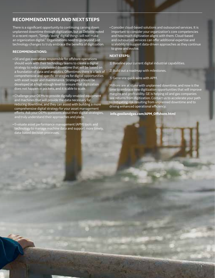## **RECOMMENDATIONS AND NEXT STEPS**

There is a significant opportunity to continuing carving down unplanned downtime through digitization, but as Deloitte noted in a recent report, "Simply 'doing' digital things will not make an organization digital." Organizations need to go beyond just technology changes to truly embrace the benefits of digitization.

#### **RECOMMENDATIONS:**

- Oil and gas executives responsible for offshore operations should work with their technology teams to create a digital strategy to reduce unplanned downtime that will be based on a foundation of data and analytics. Oftentimes there is a lack of comprehensive and specific strategies for digital opportunities with asset repair and maintenance. Strategies should be developed at a high enough level to ensure that digitization does not happen in pockets, and it is able to scale.
- Challenge your OEMs to provide digitally-enabled equipment and machines that will provide the data necessary for reducing downtime, and they can assist with building a more comprehensive digital strategy for your asset management efforts. Ask your OEMs questions about their digital strategies, and truly understand their approaches and plans.
- Evaluate asset performance management (APM) tools and technology to manage machine data and support more timely, data-based decision processes.

• Consider cloud-based solutions and outsourced services. It is important to consider your organization's core competencies and how much digitization aligns with them. Cloud-based and outsourced services can offer additional expertise and scalability to support data-driven approaches as they continue to grow and evolve.

#### **NEXT STEPS:**

1) Baseline your current digital industrial capabilities.

2) Build out a roadmap with milestones.

3) Generate quick wins with APM.

Millions are at stake with unplanned downtime, and now is the time to embrace new digitization opportunities that will improve margins and profitability. GE is helping oil and gas companies see returns from digitization. Contact us to accelerate your path to mitigating risk resulting from unplanned downtime and to driving enhanced operational efficiency.

7

#### **info.geoilandgas.com/APM\_Offshore.html**